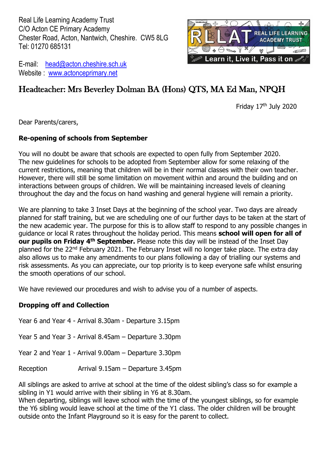Real Life Learning Academy Trust C/O Acton CE Primary Academy Chester Road, Acton, Nantwich, Cheshire. CW5 8LG Tel: 01270 685131



E-mail: [head@acton.cheshire.sch.uk](mailto:head@acton.cheshire.sch.uk) Website : [www.actonceprimary.net](http://www.actonceprimary.net/)

# Headteacher: Mrs Beverley Dolman BA (Hons) QTS, MA Ed Man, NPQH

Friday 17th July 2020

Dear Parents/carers,

#### **Re-opening of schools from September**

You will no doubt be aware that schools are expected to open fully from September 2020. The new guidelines for schools to be adopted from September allow for some relaxing of the current restrictions, meaning that children will be in their normal classes with their own teacher. However, there will still be some limitation on movement within and around the building and on interactions between groups of children. We will be maintaining increased levels of cleaning throughout the day and the focus on hand washing and general hygiene will remain a priority.

We are planning to take 3 Inset Days at the beginning of the school year. Two days are already planned for staff training, but we are scheduling one of our further days to be taken at the start of the new academic year. The purpose for this is to allow staff to respond to any possible changes in guidance or local R rates throughout the holiday period. This means **school will open for all of our pupils on Friday 4th September.** Please note this day will be instead of the Inset Day planned for the 22nd February 2021. The February Inset will no longer take place. The extra day also allows us to make any amendments to our plans following a day of trialling our systems and risk assessments. As you can appreciate, our top priority is to keep everyone safe whilst ensuring the smooth operations of our school.

We have reviewed our procedures and wish to advise you of a number of aspects.

#### **Dropping off and Collection**

Year 6 and Year 4 - Arrival 8.30am - Departure 3.15pm

Year 5 and Year 3 - Arrival 8.45am – Departure 3.30pm

- Year 2 and Year 1 Arrival 9.00am Departure 3.30pm
- Reception Arrival 9.15am Departure 3.45pm

All siblings are asked to arrive at school at the time of the oldest sibling's class so for example a sibling in Y1 would arrive with their sibling in Y6 at 8.30am.

When departing, siblings will leave school with the time of the youngest siblings, so for example the Y6 sibling would leave school at the time of the Y1 class. The older children will be brought outside onto the Infant Playground so it is easy for the parent to collect.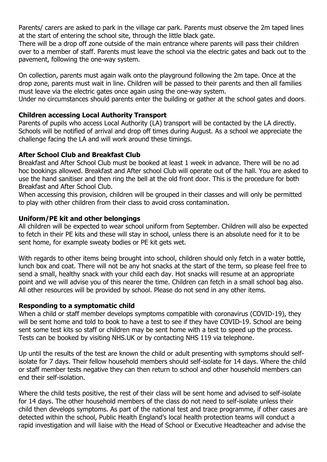Parents/ carers are asked to park in the village car park. Parents must observe the 2m taped lines at the start of entering the school site, through the little black gate.

There will be a drop off zone outside of the main entrance where parents will pass their children over to a member of staff. Parents must leave the school via the electric gates and back out to the pavement, following the one-way system.

On collection, parents must again walk onto the playground following the 2m tape. Once at the drop zone, parents must wait in line. Children will be passed to their parents and then all families must leave via the electric gates once again using the one-way system.

Under no circumstances should parents enter the building or gather at the school gates and doors.

# **Children accessing Local Authority Transport**

Parents of pupils who access Local Authority (LA) transport will be contacted by the LA directly. Schools will be notified of arrival and drop off times during August. As a school we appreciate the challenge facing the LA and will work around these timings.

# **After School Club and Breakfast Club**

Breakfast and After School Club must be booked at least 1 week in advance. There will be no ad hoc bookings allowed. Breakfast and After school Club will operate out of the hall. You are asked to use the hand sanitiser and then ring the bell at the old front door. This is the procedure for both Breakfast and After School Club.

When accessing this provision, children will be grouped in their classes and will only be permitted to play with other children from their class to avoid cross contamination.

#### **Uniform/PE kit and other belongings**

All children will be expected to wear school uniform from September. Children will also be expected to fetch in their PE kits and these will stay in school, unless there is an absolute need for it to be sent home, for example sweaty bodies or PE kit gets wet.

With regards to other items being brought into school, children should only fetch in a water bottle, lunch box and coat. There will not be any hot snacks at the start of the term, so please feel free to send a small, healthy snack with your child each day. Hot snacks will resume at an appropriate point and we will advise you of this nearer the time. Children can fetch in a small school bag also. All other resources will be provided by school. Please do not send in any other items.

#### **Responding to a symptomatic child**

When a child or staff member develops symptoms compatible with coronavirus (COVID-19), they will be sent home and told to book to have a test to see if they have COVID-19. School are being sent some test kits so staff or children may be sent home with a test to speed up the process. Tests can be booked by visiting NHS.UK or by contacting NHS 119 via telephone.

Up until the results of the test are known the child or adult presenting with symptoms should selfisolate for 7 days. Their fellow household members should self-isolate for 14 days. Where the child or staff member tests negative they can then return to school and other household members can end their self-isolation.

Where the child tests positive, the rest of their class will be sent home and advised to self-isolate for 14 days. The other household members of the class do not need to self-isolate unless their child then develops symptoms. As part of the national test and trace programme, if other cases are detected within the school, Public Health England's local health protection teams will conduct a rapid investigation and will liaise with the Head of School or Executive Headteacher and advise the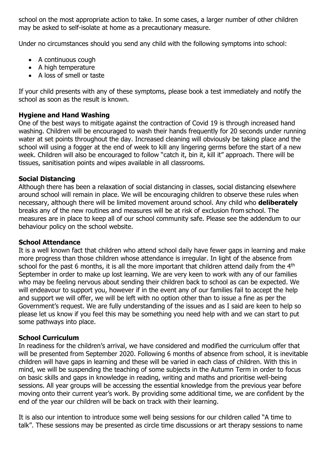school on the most appropriate action to take. In some cases, a larger number of other children may be asked to self-isolate at home as a precautionary measure.

Under no circumstances should you send any child with the following symptoms into school:

- A continuous cough
- A high temperature
- A loss of smell or taste

If your child presents with any of these symptoms, please book a test immediately and notify the school as soon as the result is known.

# **Hygiene and Hand Washing**

One of the best ways to mitigate against the contraction of Covid 19 is through increased hand washing. Children will be encouraged to wash their hands frequently for 20 seconds under running water at set points throughout the day. Increased cleaning will obviously be taking place and the school will using a fogger at the end of week to kill any lingering germs before the start of a new week. Children will also be encouraged to follow "catch it, bin it, kill it" approach. There will be tissues, sanitisation points and wipes available in all classrooms.

# **Social Distancing**

Although there has been a relaxation of social distancing in classes, social distancing elsewhere around school will remain in place. We will be encouraging children to observe these rules when necessary, although there will be limited movement around school. Any child who **deliberately**  breaks any of the new routines and measures will be at risk of exclusion from school. The measures are in place to keep all of our school community safe. Please see the addendum to our behaviour policy on the school website.

#### **School Attendance**

It is a well known fact that children who attend school daily have fewer gaps in learning and make more progress than those children whose attendance is irregular. In light of the absence from school for the past 6 months, it is all the more important that children attend daily from the 4<sup>th</sup> September in order to make up lost learning. We are very keen to work with any of our families who may be feeling nervous about sending their children back to school as can be expected. We will endeavour to support you, however if in the event any of our families fail to accept the help and support we will offer, we will be left with no option other than to issue a fine as per the Government's request. We are fully understanding of the issues and as I said are keen to help so please let us know if you feel this may be something you need help with and we can start to put some pathways into place.

#### **School Curriculum**

In readiness for the children's arrival, we have considered and modified the curriculum offer that will be presented from September 2020. Following 6 months of absence from school, it is inevitable children will have gaps in learning and these will be varied in each class of children. With this in mind, we will be suspending the teaching of some subjects in the Autumn Term in order to focus on basic skills and gaps in knowledge in reading, writing and maths and prioritise well-being sessions. All year groups will be accessing the essential knowledge from the previous year before moving onto their current year's work. By providing some additional time, we are confident by the end of the year our children will be back on track with their learning.

It is also our intention to introduce some well being sessions for our children called "A time to talk". These sessions may be presented as circle time discussions or art therapy sessions to name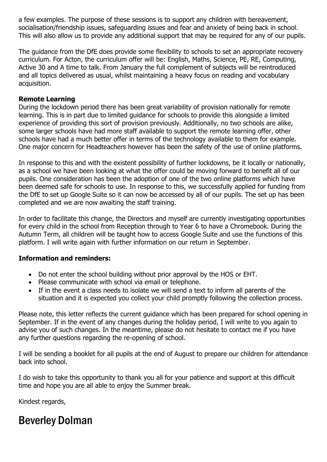a few examples. The purpose of these sessions is to support any children with bereavement, socialisation/friendship issues, safeguarding issues and fear and anxiety of being back in school. This will also allow us to provide any additional support that may be required for any of our pupils.

The guidance from the DfE does provide some flexibility to schools to set an appropriate recovery curriculum. For Acton, the curriculum offer will be: English, Maths, Science, PE, RE, Computing, Active 30 and A time to talk. From January the full complement of subjects will be reintroduced and all topics delivered as usual, whilst maintaining a heavy focus on reading and vocabulary acquisition.

# **Remote Learning**

During the lockdown period there has been great variability of provision nationally for remote learning. This is in part due to limited guidance for schools to provide this alongside a limited experience of providing this sort of provision previously. Additionally, no two schools are alike, some larger schools have had more staff available to support the remote learning offer, other schools have had a much better offer in terms of the technology available to them for example. One major concern for Headteachers however has been the safety of the use of online platforms.

In response to this and with the existent possibility of further lockdowns, be it locally or nationally, as a school we have been looking at what the offer could be moving forward to benefit all of our pupils. One consideration has been the adoption of one of the two online platforms which have been deemed safe for schools to use. In response to this, we successfully applied for funding from the DfE to set up Google Suite so it can now be accessed by all of our pupils. The set up has been completed and we are now awaiting the staff training.

In order to facilitate this change, the Directors and myself are currently investigating opportunities for every child in the school from Reception through to Year 6 to have a Chromebook. During the Autumn Term, all children will be taught how to access Google Suite and use the functions of this platform. I will write again with further information on our return in September.

# **Information and reminders:**

- Do not enter the school building without prior approval by the HOS or EHT.
- Please communicate with school via email or telephone.
- If in the event a class needs to isolate we will send a text to inform all parents of the situation and it is expected you collect your child promptly following the collection process.

Please note, this letter reflects the current guidance which has been prepared for school opening in September. If in the event of any changes during the holiday period, I will write to you again to advise you of such changes. In the meantime, please do not hesitate to contact me if you have any further questions regarding the re-opening of school.

I will be sending a booklet for all pupils at the end of August to prepare our children for attendance back into school.

I do wish to take this opportunity to thank you all for your patience and support at this difficult time and hope you are all able to enjoy the Summer break.

Kindest regards,

# Beverley Dolman